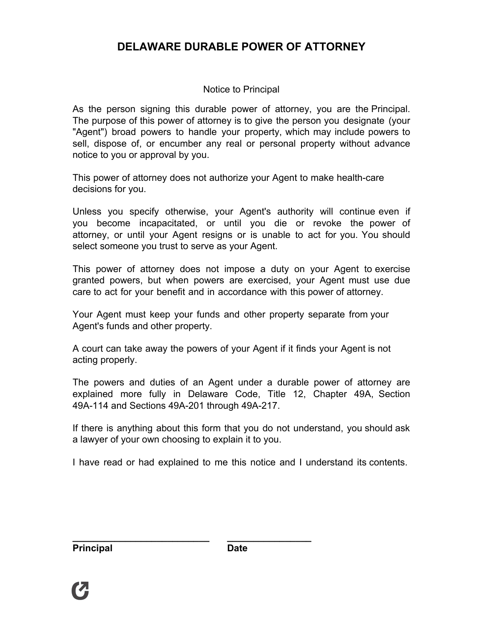# **DELAWARE DURABLE POWER OF ATTORNEY**

## Notice to Principal

As the person signing this durable power of attorney, you are the Principal. The purpose of this power of attorney is to give the person you designate (your "Agent") broad powers to handle your property, which may include powers to sell, dispose of, or encumber any real or personal property without advance notice to you or approval by you.

This power of attorney does not authorize your Agent to make health-care decisions for you.

Unless you specify otherwise, your Agent's authority will continue even if you become incapacitated, or until you die or revoke the power of attorney, or until your Agent resigns or is unable to act for you. You should select someone you trust to serve as your Agent.

This power of attorney does not impose a duty on your Agent to exercise granted powers, but when powers are exercised, your Agent must use due care to act for your benefit and in accordance with this power of attorney.

Your Agent must keep your funds and other property separate from your Agent's funds and other property.

A court can take away the powers of your Agent if it finds your Agent is not acting properly.

The powers and duties of an Agent under a durable power of attorney are explained more fully in Delaware Code, Title 12, Chapter 49A, Section 49A-114 and Sections 49A-201 through 49A-217.

If there is anything about this form that you do not understand, you should ask a lawyer of your own choosing to explain it to you.

I have read or had explained to me this notice and I understand its contents.

**\_\_\_\_\_\_\_\_\_\_\_\_\_\_\_\_\_\_\_\_\_\_\_\_\_\_**

**\_\_\_\_\_\_\_\_\_\_\_\_\_\_\_\_**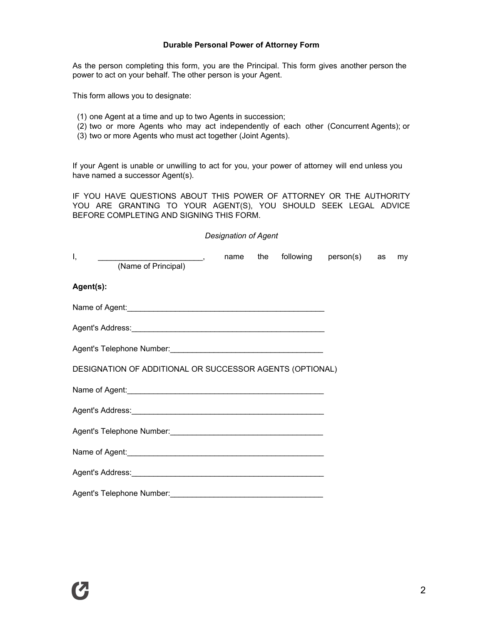#### **Durable Personal Power of Attorney Form**

As the person completing this form, you are the Principal. This form gives another person the power to act on your behalf. The other person is your Agent.

This form allows you to designate:

- (1) one Agent at a time and up to two Agents in succession;
- (2) two or more Agents who may act independently of each other (Concurrent Agents); or
- (3) two or more Agents who must act together (Joint Agents).

If your Agent is unable or unwilling to act for you, your power of attorney will end unless you have named a successor Agent(s).

IF YOU HAVE QUESTIONS ABOUT THIS POWER OF ATTORNEY OR THE AUTHORITY YOU ARE GRANTING TO YOUR AGENT(S), YOU SHOULD SEEK LEGAL ADVICE BEFORE COMPLETING AND SIGNING THIS FORM.

#### *Designation of Agent*

| Ι,<br>(Name of Principal)                                | name | the |  | following person(s) as |  | my |
|----------------------------------------------------------|------|-----|--|------------------------|--|----|
| Agent(s):                                                |      |     |  |                        |  |    |
|                                                          |      |     |  |                        |  |    |
|                                                          |      |     |  |                        |  |    |
|                                                          |      |     |  |                        |  |    |
| DESIGNATION OF ADDITIONAL OR SUCCESSOR AGENTS (OPTIONAL) |      |     |  |                        |  |    |
|                                                          |      |     |  |                        |  |    |
|                                                          |      |     |  |                        |  |    |
|                                                          |      |     |  |                        |  |    |
|                                                          |      |     |  |                        |  |    |
|                                                          |      |     |  |                        |  |    |
|                                                          |      |     |  |                        |  |    |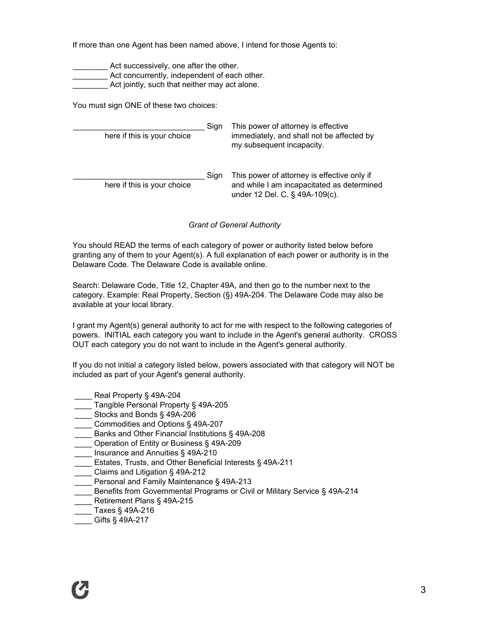If more than one Agent has been named above, I intend for those Agents to:

Act successively, one after the other.

**EXECUTE:** Act concurrently, independent of each other.

Act jointly, such that neither may act alone.

You must sign ONE of these two choices:

 $\_$ Sign here if this is your choice \_\_\_\_\_\_\_\_\_\_\_\_\_\_\_\_\_\_\_\_\_\_\_\_\_\_\_\_\_\_ Sign here if this is your choice This power of attorney is effective immediately, and shall not be affected by my subsequent incapacity. This power of attorney is effective only if and while I am incapacitated as determined under 12 Del. C. § 49A-109(c).

*Grant of General Authority* 

You should READ the terms of each category of power or authority listed below before granting any of them to your Agent(s). A full explanation of each power or authority is in the Delaware Code. The Delaware Code is available online.

Search: Delaware Code, Title 12, Chapter 49A, and then go to the number next to the category. Example: Real Property, Section (§) 49A-204. The Delaware Code may also be available at your local library.

I grant my Agent(s) general authority to act for me with respect to the following categories of powers. INITIAL each category you want to include in the Agent's general authority. CROSS OUT each category you do not want to include in the Agent's general authority.

If you do not initial a category listed below, powers associated with that category will NOT be included as part of your Agent's general authority.

- Real Property § 49A-204
- Tangible Personal Property § 49A-205
- \_\_\_\_ Stocks and Bonds § 49A-206
- \_\_\_\_ Commodities and Options § 49A-207
- \_\_\_\_ Banks and Other Financial Institutions § 49A-208
- \_\_\_\_ Operation of Entity or Business § 49A-209
- Insurance and Annuities § 49A-210
- \_\_\_\_ Estates, Trusts, and Other Beneficial Interests § 49A-211
- \_\_\_\_ Claims and Litigation § 49A-212
- Personal and Family Maintenance § 49A-213
- \_\_\_\_ Benefits from Governmental Programs or Civil or Military Service § 49A-214
- Retirement Plans § 49A-215
- \_\_\_\_ Taxes § 49A-216
- Gifts § 49A-217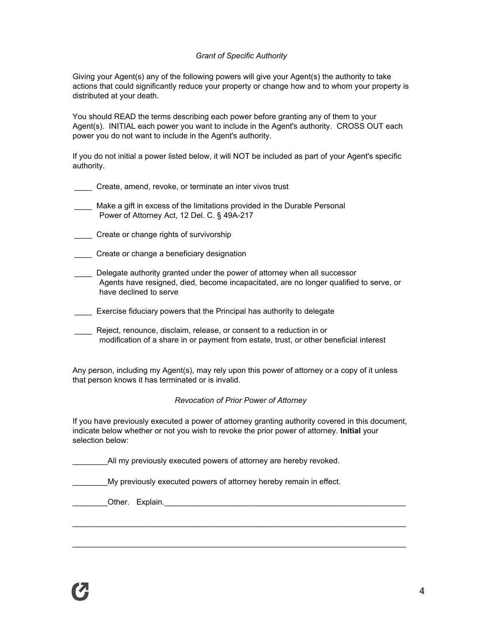#### *Grant of Specific Authority*

Giving your Agent(s) any of the following powers will give your Agent(s) the authority to take actions that could significantly reduce your property or change how and to whom your property is distributed at your death.

You should READ the terms describing each power before granting any of them to your Agent(s). INITIAL each power you want to include in the Agent's authority. CROSS OUT each power you do not want to include in the Agent's authority.

If you do not initial a power listed below, it will NOT be included as part of your Agent's specific authority.

- \_\_\_\_ Create, amend, revoke, or terminate an inter vivos trust
- \_\_\_\_ Make a gift in excess of the limitations provided in the Durable Personal Power of Attorney Act, 12 Del. C. § 49A-217
- **Create or change rights of survivorship**
- \_\_\_\_ Create or change a beneficiary designation
- \_\_\_\_ Delegate authority granted under the power of attorney when all successor Agents have resigned, died, become incapacitated, are no longer qualified to serve, or have declined to serve
- **\_\_\_\_** Exercise fiduciary powers that the Principal has authority to delegate
- Reject, renounce, disclaim, release, or consent to a reduction in or modification of a share in or payment from estate, trust, or other beneficial interest

Any person, including my Agent(s), may rely upon this power of attorney or a copy of it unless that person knows it has terminated or is invalid.

#### *Revocation of Prior Power of Attorney*

If you have previously executed a power of attorney granting authority covered in this document, indicate below whether or not you wish to revoke the prior power of attorney. **Initial** your selection below:

\_\_\_\_\_\_\_\_\_\_\_\_\_\_\_\_\_\_\_\_\_\_\_\_\_\_\_\_\_\_\_\_\_\_\_\_\_\_\_\_\_\_\_\_\_\_\_\_\_\_\_\_\_\_\_\_\_\_\_\_\_\_\_\_\_\_\_\_\_\_\_\_\_\_\_\_

\_\_\_\_\_\_\_\_\_\_\_\_\_\_\_\_\_\_\_\_\_\_\_\_\_\_\_\_\_\_\_\_\_\_\_\_\_\_\_\_\_\_\_\_\_\_\_\_\_\_\_\_\_\_\_\_\_\_\_\_\_\_\_\_\_\_\_\_\_\_\_\_\_\_\_\_

All my previously executed powers of attorney are hereby revoked.

\_\_\_\_\_\_\_\_My previously executed powers of attorney hereby remain in effect.

\_\_\_\_\_\_\_\_Other. Explain.\_\_\_\_\_\_\_\_\_\_\_\_\_\_\_\_\_\_\_\_\_\_\_\_\_\_\_\_\_\_\_\_\_\_\_\_\_\_\_\_\_\_\_\_\_\_\_\_\_\_\_\_\_\_\_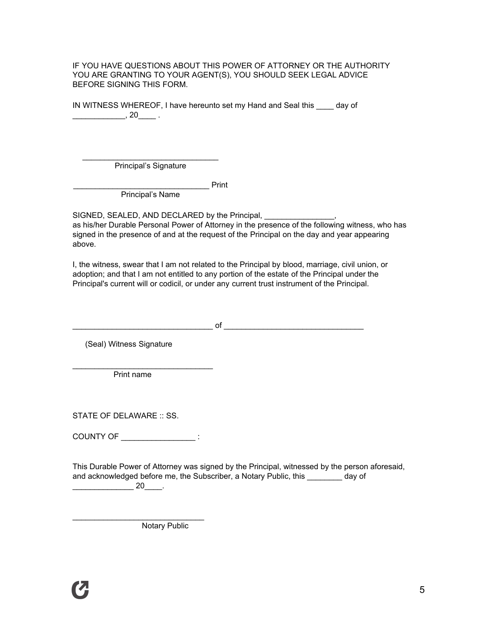IF YOU HAVE QUESTIONS ABOUT THIS POWER OF ATTORNEY OR THE AUTHORITY YOU ARE GRANTING TO YOUR AGENT(S), YOU SHOULD SEEK LEGAL ADVICE BEFORE SIGNING THIS FORM.

IN WITNESS WHEREOF, I have hereunto set my Hand and Seal this \_\_\_\_ day of  $\overline{\phantom{a}}$ , 20 $\overline{\phantom{a}}$ .

\_\_\_\_\_\_\_\_\_\_\_\_\_\_\_\_\_\_\_\_\_\_\_\_\_\_\_\_\_\_\_ **Principal's Signature** 

\_\_\_\_\_\_\_\_\_\_\_\_\_\_\_\_\_\_\_\_\_\_\_\_\_\_\_\_\_\_\_ Print

Principal's Name

SIGNED, SEALED, AND DECLARED by the Principal, as his/her Durable Personal Power of Attorney in the presence of the following witness, who has signed in the presence of and at the request of the Principal on the day and year appearing above.

I, the witness, swear that I am not related to the Principal by blood, marriage, civil union, or adoption; and that I am not entitled to any portion of the estate of the Principal under the Principal's current will or codicil, or under any current trust instrument of the Principal.

\_\_\_\_\_\_\_\_\_\_\_\_\_\_\_\_\_\_\_\_\_\_\_\_\_\_\_\_\_\_\_\_ of \_\_\_\_\_\_\_\_\_\_\_\_\_\_\_\_\_\_\_\_\_\_\_\_\_\_\_\_\_\_\_\_

(Seal) Witness Signature

\_\_\_\_\_\_\_\_\_\_\_\_\_\_\_\_\_\_\_\_\_\_\_\_\_\_\_\_\_\_\_\_ Print name

STATE OF DELAWARE :: SS.

COUNTY OF \_\_\_\_\_\_\_\_\_\_\_\_\_\_\_\_\_ :

\_\_\_\_\_\_\_\_\_\_\_\_\_\_\_\_\_\_\_\_\_\_\_\_\_\_\_\_\_\_

This Durable Power of Attorney was signed by the Principal, witnessed by the person aforesaid, and acknowledged before me, the Subscriber, a Notary Public, this \_\_\_\_\_\_\_\_ day of  $\overline{\phantom{a}20\phantom{a}}$ .

**Notary Public**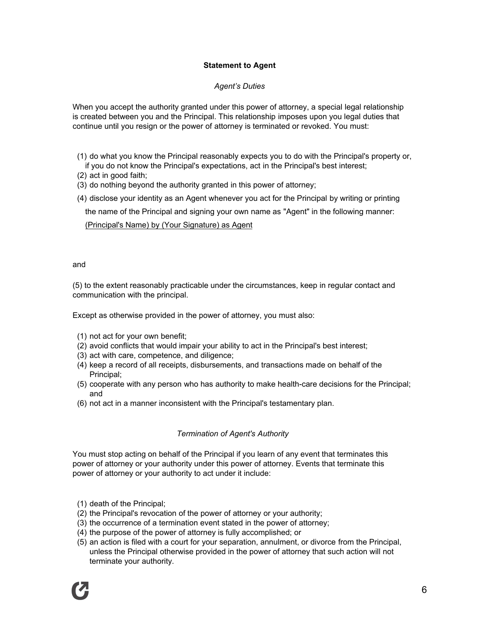## **Statement to Agent**

## *Agent's Duties*

When you accept the authority granted under this power of attorney, a special legal relationship is created between you and the Principal. This relationship imposes upon you legal duties that continue until you resign or the power of attorney is terminated or revoked. You must:

- (1) do what you know the Principal reasonably expects you to do with the Principal's property or, if you do not know the Principal's expectations, act in the Principal's best interest;
- (2) act in good faith;
- (3) do nothing beyond the authority granted in this power of attorney;
- (4) disclose your identity as an Agent whenever you act for the Principal by writing or printing

the name of the Principal and signing your own name as "Agent" in the following manner:

(Principal's Name) by (Your Signature) as Agent

and

(5) to the extent reasonably practicable under the circumstances, keep in regular contact and communication with the principal.

Except as otherwise provided in the power of attorney, you must also:

- (1) not act for your own benefit;
- (2) avoid conflicts that would impair your ability to act in the Principal's best interest;
- (3) act with care, competence, and diligence;
- (4) keep a record of all receipts, disbursements, and transactions made on behalf of the Principal;
- (5) cooperate with any person who has authority to make health-care decisions for the Principal; and
- (6) not act in a manner inconsistent with the Principal's testamentary plan.

### *Termination of Agent's Authority*

You must stop acting on behalf of the Principal if you learn of any event that terminates this power of attorney or your authority under this power of attorney. Events that terminate this power of attorney or your authority to act under it include:

- (1) death of the Principal;
- (2) the Principal's revocation of the power of attorney or your authority;
- (3) the occurrence of a termination event stated in the power of attorney;
- (4) the purpose of the power of attorney is fully accomplished; or
- (5) an action is filed with a court for your separation, annulment, or divorce from the Principal, unless the Principal otherwise provided in the power of attorney that such action will not terminate your authority.